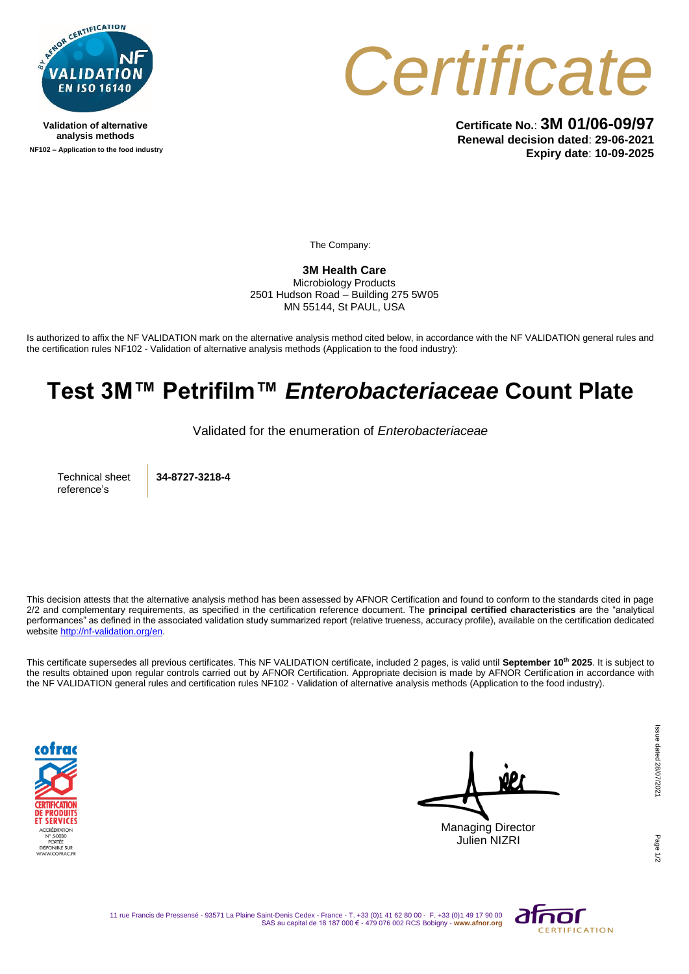

**Validation of alternative analysis methods NF102 – Application to the food industry**



**Certificate No.**: **3M 01/06-09/97 Renewal decision dated**: **29-06-2021 Expiry date**: **10-09-2025**

The Company:

**3M Health Care** 

Microbiology Products 2501 Hudson Road – Building 275 5W05 MN 55144, St PAUL, USA

Is authorized to affix the NF VALIDATION mark on the alternative analysis method cited below, in accordance with the NF VALIDATION general rules and the certification rules NF102 - Validation of alternative analysis methods (Application to the food industry):

## **Test 3M™ Petrifilm™** *Enterobacteriaceae* **Count Plate**

Validated for the enumeration of *Enterobacteriaceae*

Technical sheet reference's

**34-8727-3218-4**

This decision attests that the alternative analysis method has been assessed by AFNOR Certification and found to conform to the standards cited in page 2/2 and complementary requirements, as specified in the certification reference document. The **principal certified characteristics** are the "analytical performances" as defined in the associated validation study summarized report (relative trueness, accuracy profile), available on the certification dedicated websit[e http://nf-validation.org/en.](http://nf-validation.org/en)

This certificate supersedes all previous certificates. This NF VALIDATION certificate, included 2 pages, is valid until **September 10th 2025**. It is subject to the results obtained upon regular controls carried out by AFNOR Certification. Appropriate decision is made by AFNOR Certification in accordance with the NF VALIDATION general rules and certification rules NF102 - Validation of alternative analysis methods (Application to the food industry).



Managing Director Julien NIZRI